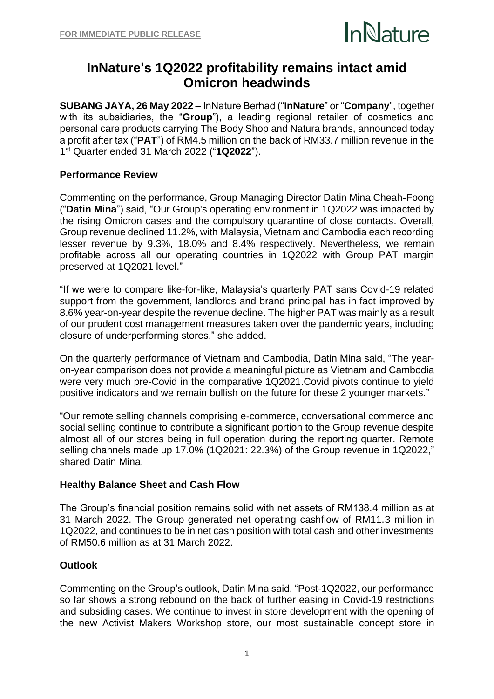

# **InNature's 1Q2022 profitability remains intact amid Omicron headwinds**

**SUBANG JAYA, 26 May 2022 –** InNature Berhad ("**InNature**" or "**Company**", together with its subsidiaries, the "**Group**"), a leading regional retailer of cosmetics and personal care products carrying The Body Shop and Natura brands, announced today a profit after tax ("**PAT**") of RM4.5 million on the back of RM33.7 million revenue in the 1 st Quarter ended 31 March 2022 ("**1Q2022**").

## **Performance Review**

Commenting on the performance, Group Managing Director Datin Mina Cheah-Foong ("**Datin Mina**") said, "Our Group's operating environment in 1Q2022 was impacted by the rising Omicron cases and the compulsory quarantine of close contacts. Overall, Group revenue declined 11.2%, with Malaysia, Vietnam and Cambodia each recording lesser revenue by 9.3%, 18.0% and 8.4% respectively. Nevertheless, we remain profitable across all our operating countries in 1Q2022 with Group PAT margin preserved at 1Q2021 level."

"If we were to compare like-for-like, Malaysia's quarterly PAT sans Covid-19 related support from the government, landlords and brand principal has in fact improved by 8.6% year-on-year despite the revenue decline. The higher PAT was mainly as a result of our prudent cost management measures taken over the pandemic years, including closure of underperforming stores," she added.

On the quarterly performance of Vietnam and Cambodia, Datin Mina said, "The yearon-year comparison does not provide a meaningful picture as Vietnam and Cambodia were very much pre-Covid in the comparative 1Q2021.Covid pivots continue to yield positive indicators and we remain bullish on the future for these 2 younger markets."

"Our remote selling channels comprising e-commerce, conversational commerce and social selling continue to contribute a significant portion to the Group revenue despite almost all of our stores being in full operation during the reporting quarter. Remote selling channels made up 17.0% (1Q2021: 22.3%) of the Group revenue in 1Q2022," shared Datin Mina.

### **Healthy Balance Sheet and Cash Flow**

The Group's financial position remains solid with net assets of RM138.4 million as at 31 March 2022. The Group generated net operating cashflow of RM11.3 million in 1Q2022, and continues to be in net cash position with total cash and other investments of RM50.6 million as at 31 March 2022.

### **Outlook**

Commenting on the Group's outlook, Datin Mina said, "Post-1Q2022, our performance so far shows a strong rebound on the back of further easing in Covid-19 restrictions and subsiding cases. We continue to invest in store development with the opening of the new Activist Makers Workshop store, our most sustainable concept store in